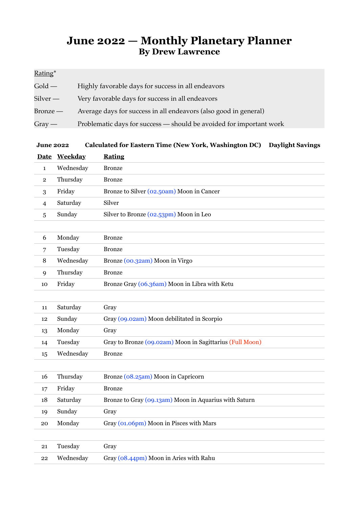## **June 2022 — Monthly Planetary Planner By Drew Lawrence**

## Rating\*

| $\text{Gold} \, -$ | Highly favorable days for success in all endeavors                  |
|--------------------|---------------------------------------------------------------------|
| Silver —           | Very favorable days for success in all endeavors                    |
| Bronze —           | Average days for success in all endeavors (also good in general)    |
| $Gray -$           | Problematic days for success - should be avoided for important work |

| <b>June 2022</b> | Calculated for Eastern Time (New York, Washington DC) Daylight Savings |  |
|------------------|------------------------------------------------------------------------|--|
|------------------|------------------------------------------------------------------------|--|

|              | Date Weekday | <b>Rating</b>                             |
|--------------|--------------|-------------------------------------------|
|              | Wednesday    | Bronze                                    |
| $\mathbf{2}$ | Thursday     | <b>Bronze</b>                             |
| 3            | Friday       | Bronze to Silver (02.50am) Moon in Cancer |
| 4            | Saturday     | Silver                                    |
| 5            | Sunday       | Silver to Bronze (02.53pm) Moon in Leo    |
|              |              |                                           |

| b  | Monday    | Bronze                                        |
|----|-----------|-----------------------------------------------|
|    | Tuesday   | Bronze                                        |
| 8  | Wednesday | Bronze (00.32am) Moon in Virgo                |
|    | Thursday  | Bronze                                        |
| 10 | Friday    | Bronze Gray (06.36am) Moon in Libra with Ketu |

| 11 | Saturday  | Gray                                                     |
|----|-----------|----------------------------------------------------------|
| 12 | Sunday    | Gray (09.02am) Moon debilitated in Scorpio               |
| 13 | Monday    | Gray                                                     |
| 14 | Tuesday   | Gray to Bronze (09.02am) Moon in Sagittarius (Full Moon) |
| 15 | Wednesday | <b>Bronze</b>                                            |

| 16 | Thursday  | Bronze (08.25am) Moon in Capricorn                    |
|----|-----------|-------------------------------------------------------|
| 17 | Friday    | <b>Bronze</b>                                         |
| 18 | Saturday  | Bronze to Gray (09.13am) Moon in Aquarius with Saturn |
| 19 | Sunday    | Gray                                                  |
| 20 | Monday    | Gray (01.06pm) Moon in Pisces with Mars               |
|    |           |                                                       |
| 21 | Tuesday   | Gray                                                  |
| 22 | Wednesday | Gray (08.44pm) Moon in Aries with Rahu                |